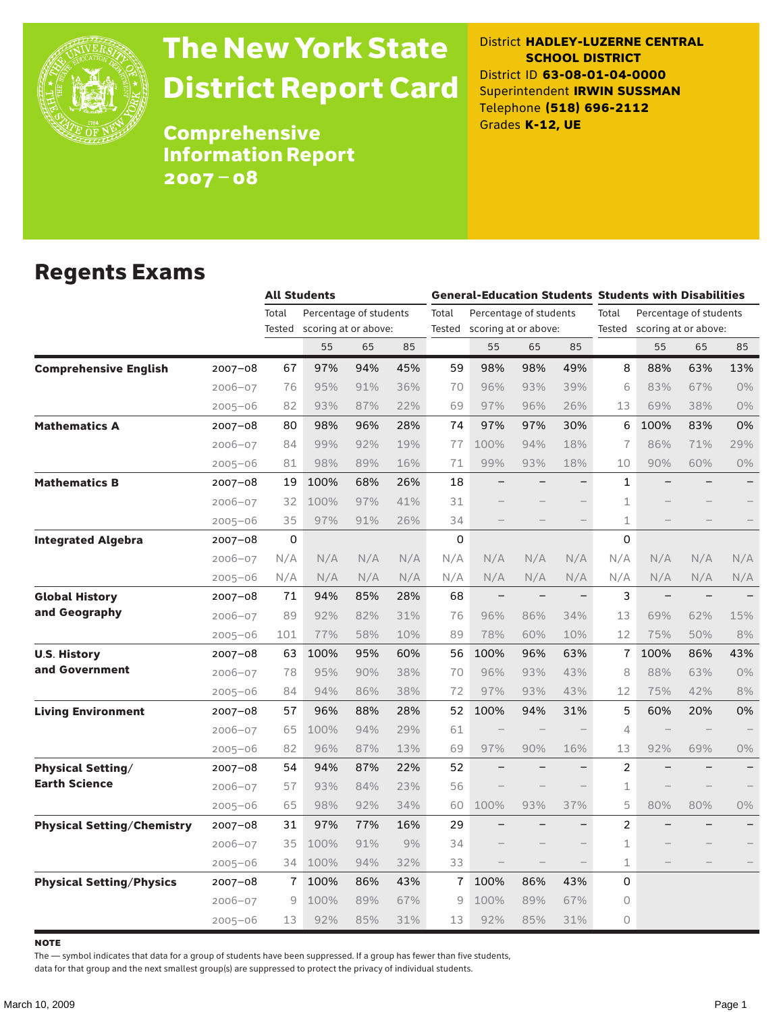

# The New York State District Report Card

District **HADLEY-LUZERNE CENTRAL SCHOOL DISTRICT** District ID **63-08-01-04-0000** Superintendent **IRWIN SUSSMAN** Telephone **(518) 696-2112** Grades **K-12, UE**

Comprehensive Information Report 2007–08

### Regents Exams

|                                   |             |        | <b>All Students</b> |                                 |     |        |                        |     |                          | <b>General-Education Students Students with Disabilities</b> |                          |     |                          |
|-----------------------------------|-------------|--------|---------------------|---------------------------------|-----|--------|------------------------|-----|--------------------------|--------------------------------------------------------------|--------------------------|-----|--------------------------|
|                                   |             | Total  |                     | Percentage of students<br>Total |     |        | Percentage of students |     |                          | Total                                                        | Percentage of students   |     |                          |
|                                   |             | Tested |                     | scoring at or above:            |     | Tested | scoring at or above:   |     |                          | Tested                                                       | scoring at or above:     |     |                          |
|                                   |             |        | 55                  | 65                              | 85  |        | 55                     | 65  | 85                       |                                                              | 55                       | 65  | 85                       |
| <b>Comprehensive English</b>      | $2007 - 08$ | 67     | 97%                 | 94%                             | 45% | 59     | 98%                    | 98% | 49%                      | 8                                                            | 88%                      | 63% | 13%                      |
|                                   | $2006 - 07$ | 76     | 95%                 | 91%                             | 36% | 70     | 96%                    | 93% | 39%                      | 6                                                            | 83%                      | 67% | $0\%$                    |
|                                   | $2005 - 06$ | 82     | 93%                 | 87%                             | 22% | 69     | 97%                    | 96% | 26%                      | 13                                                           | 69%                      | 38% | 0%                       |
| <b>Mathematics A</b>              | $2007 - 08$ | 80     | 98%                 | 96%                             | 28% | 74     | 97%                    | 97% | 30%                      | 6                                                            | 100%                     | 83% | 0%                       |
|                                   | $2006 - 07$ | 84     | 99%                 | 92%                             | 19% | 77     | 100%                   | 94% | 18%                      | 7                                                            | 86%                      | 71% | 29%                      |
|                                   | $2005 - 06$ | 81     | 98%                 | 89%                             | 16% | 71     | 99%                    | 93% | 18%                      | 10                                                           | 90%                      | 60% | $0\%$                    |
| <b>Mathematics B</b>              | $2007 - 08$ | 19     | 100%                | 68%                             | 26% | 18     |                        |     |                          | 1                                                            |                          |     |                          |
|                                   | $2006 - 07$ | 32     | 100%                | 97%                             | 41% | 31     |                        |     |                          | $\mathbf 1$                                                  |                          |     |                          |
|                                   | $2005 - 06$ | 35     | 97%                 | 91%                             | 26% | 34     |                        |     |                          | $\mathbf 1$                                                  |                          |     |                          |
| <b>Integrated Algebra</b>         | 2007-08     | 0      |                     |                                 |     | 0      |                        |     |                          | $\Omega$                                                     |                          |     |                          |
|                                   | $2006 - 07$ | N/A    | N/A                 | N/A                             | N/A | N/A    | N/A                    | N/A | N/A                      | N/A                                                          | N/A                      | N/A | N/A                      |
|                                   | $2005 - 06$ | N/A    | N/A                 | N/A                             | N/A | N/A    | N/A                    | N/A | N/A                      | N/A                                                          | N/A                      | N/A | N/A                      |
| <b>Global History</b>             | 2007-08     | 71     | 94%                 | 85%                             | 28% | 68     | $\qquad \qquad -$      |     | $\overline{\phantom{0}}$ | 3                                                            | $\overline{\phantom{0}}$ |     |                          |
| and Geography                     | $2006 - 07$ | 89     | 92%                 | 82%                             | 31% | 76     | 96%                    | 86% | 34%                      | 13                                                           | 69%                      | 62% | 15%                      |
|                                   | $2005 - 06$ | 101    | 77%                 | 58%                             | 10% | 89     | 78%                    | 60% | 10%                      | 12                                                           | 75%                      | 50% | 8%                       |
| <b>U.S. History</b>               | $2007 - 08$ | 63     | 100%                | 95%                             | 60% | 56     | 100%                   | 96% | 63%                      | 7                                                            | 100%                     | 86% | 43%                      |
| and Government                    | $2006 - 07$ | 78     | 95%                 | 90%                             | 38% | 70     | 96%                    | 93% | 43%                      | 8                                                            | 88%                      | 63% | 0%                       |
|                                   | 2005-06     | 84     | 94%                 | 86%                             | 38% | 72     | 97%                    | 93% | 43%                      | 12                                                           | 75%                      | 42% | 8%                       |
| <b>Living Environment</b>         | 2007-08     | 57     | 96%                 | 88%                             | 28% | 52     | 100%                   | 94% | 31%                      | 5                                                            | 60%                      | 20% | 0%                       |
|                                   | $2006 - 07$ | 65     | 100%                | 94%                             | 29% | 61     |                        |     |                          | 4                                                            |                          |     |                          |
|                                   | $2005 - 06$ | 82     | 96%                 | 87%                             | 13% | 69     | 97%                    | 90% | 16%                      | 13                                                           | 92%                      | 69% | $0\%$                    |
| <b>Physical Setting/</b>          | $2007 - 08$ | 54     | 94%                 | 87%                             | 22% | 52     |                        |     |                          | $\overline{c}$                                               |                          |     | $\overline{\phantom{0}}$ |
| <b>Earth Science</b>              | $2006 - 07$ | 57     | 93%                 | 84%                             | 23% | 56     |                        |     |                          | $\mathbf 1$                                                  |                          |     |                          |
|                                   | $2005 - 06$ | 65     | 98%                 | 92%                             | 34% | 60     | 100%                   | 93% | 37%                      | 5                                                            | 80%                      | 80% | 0%                       |
| <b>Physical Setting/Chemistry</b> | 2007–08     | 31     | 97%                 | 77%                             | 16% | 29     |                        |     |                          | $\overline{2}$                                               |                          |     |                          |
|                                   | $2006 - 07$ | 35     | 100%                | 91%                             | 9%  | 34     |                        |     |                          | 1                                                            |                          |     |                          |
|                                   | $2005 - 06$ | 34     | 100%                | 94%                             | 32% | 33     |                        |     |                          | $\mathbf 1$                                                  |                          |     |                          |
| <b>Physical Setting/Physics</b>   | $2007 - 08$ | 7      | 100%                | 86%                             | 43% | 7      | 100%                   | 86% | 43%                      | 0                                                            |                          |     |                          |
|                                   | $2006 - 07$ | 9      | 100%                | 89%                             | 67% | 9      | 100%                   | 89% | 67%                      | 0                                                            |                          |     |                          |
|                                   | $2005 - 06$ | 13     | 92%                 | 85%                             | 31% | 13     | 92%                    | 85% | 31%                      | $\Omega$                                                     |                          |     |                          |

**NOTE** 

The — symbol indicates that data for a group of students have been suppressed. If a group has fewer than five students,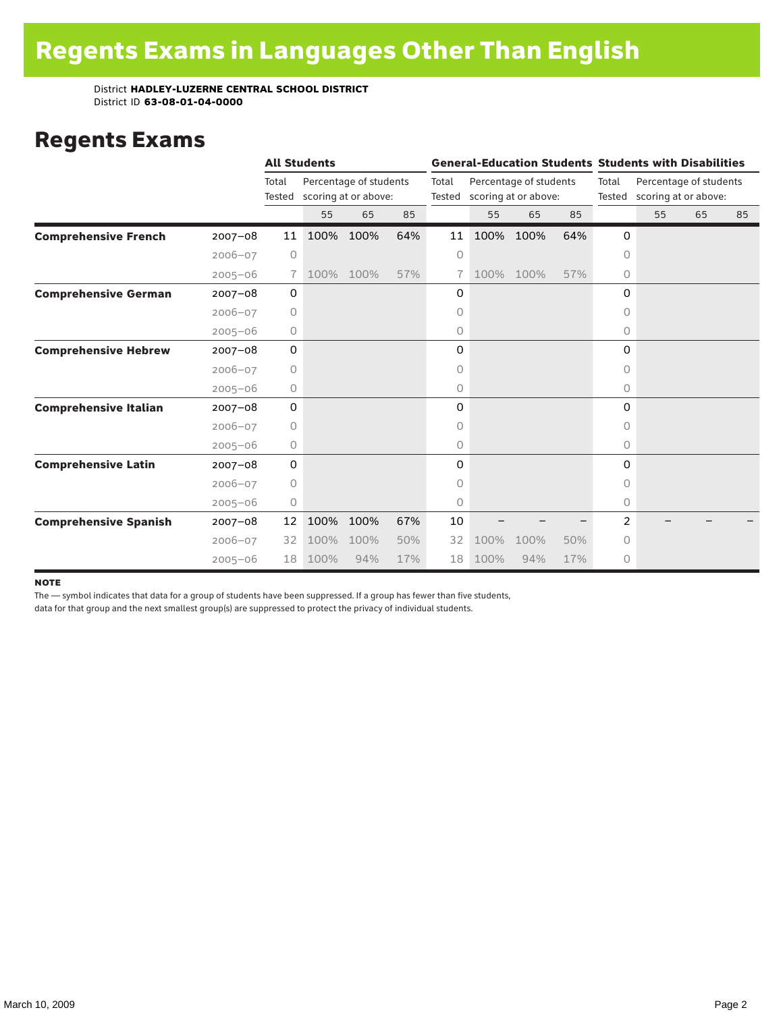### Regents Exams

|                              |             | <b>All Students</b> |      |                                                |     | <b>General-Education Students Students with Disabilities</b> |      |                                                |     |                 |                                                |    |    |
|------------------------------|-------------|---------------------|------|------------------------------------------------|-----|--------------------------------------------------------------|------|------------------------------------------------|-----|-----------------|------------------------------------------------|----|----|
|                              |             | Total<br>Tested     |      | Percentage of students<br>scoring at or above: |     | Total<br>Tested                                              |      | Percentage of students<br>scoring at or above: |     | Total<br>Tested | Percentage of students<br>scoring at or above: |    |    |
|                              |             |                     | 55   | 65                                             | 85  |                                                              | 55   | 65                                             | 85  |                 | 55                                             | 65 | 85 |
| <b>Comprehensive French</b>  | $2007 - 08$ | 11                  | 100% | 100%                                           | 64% | 11                                                           | 100% | 100%                                           | 64% | 0               |                                                |    |    |
|                              | $2006 - 07$ | $\circ$             |      |                                                |     | 0                                                            |      |                                                |     | 0               |                                                |    |    |
|                              | $2005 - 06$ | 7 <sup>1</sup>      | 100% | 100%                                           | 57% |                                                              | 100% | 100%                                           | 57% | 0               |                                                |    |    |
| <b>Comprehensive German</b>  | $2007 - 08$ | 0                   |      |                                                |     | 0                                                            |      |                                                |     | 0               |                                                |    |    |
|                              | $2006 - 07$ | $\circ$             |      |                                                |     | 0                                                            |      |                                                |     | $\circ$         |                                                |    |    |
|                              | $2005 - 06$ | 0                   |      |                                                |     | 0                                                            |      |                                                |     | 0               |                                                |    |    |
| <b>Comprehensive Hebrew</b>  | $2007 - 08$ | 0                   |      |                                                |     | 0                                                            |      |                                                |     | 0               |                                                |    |    |
|                              | $2006 - 07$ | 0                   |      |                                                |     | 0                                                            |      |                                                |     | 0               |                                                |    |    |
|                              | $2005 - 06$ | 0                   |      |                                                |     | 0                                                            |      |                                                |     | 0               |                                                |    |    |
| <b>Comprehensive Italian</b> | $2007 - 08$ | 0                   |      |                                                |     | 0                                                            |      |                                                |     | $\Omega$        |                                                |    |    |
|                              | $2006 - 07$ | $\circ$             |      |                                                |     | 0                                                            |      |                                                |     | 0               |                                                |    |    |
|                              | $2005 - 06$ | 0                   |      |                                                |     | 0                                                            |      |                                                |     | 0               |                                                |    |    |
| <b>Comprehensive Latin</b>   | $2007 - 08$ | 0                   |      |                                                |     | 0                                                            |      |                                                |     | 0               |                                                |    |    |
|                              | $2006 - 07$ | $\circ$             |      |                                                |     | 0                                                            |      |                                                |     | 0               |                                                |    |    |
|                              | $2005 - 06$ | 0                   |      |                                                |     | 0                                                            |      |                                                |     | $\circ$         |                                                |    |    |
| <b>Comprehensive Spanish</b> | $2007 - 08$ | 12                  | 100% | 100%                                           | 67% | 10                                                           |      |                                                |     | $\overline{2}$  |                                                |    |    |
|                              | $2006 - 07$ | 32                  | 100% | 100%                                           | 50% | 32                                                           | 100% | 100%                                           | 50% | 0               |                                                |    |    |
|                              | $2005 - 06$ | 18                  | 100% | 94%                                            | 17% | 18                                                           | 100% | 94%                                            | 17% | $\circ$         |                                                |    |    |

#### **NOTE**

The — symbol indicates that data for a group of students have been suppressed. If a group has fewer than five students,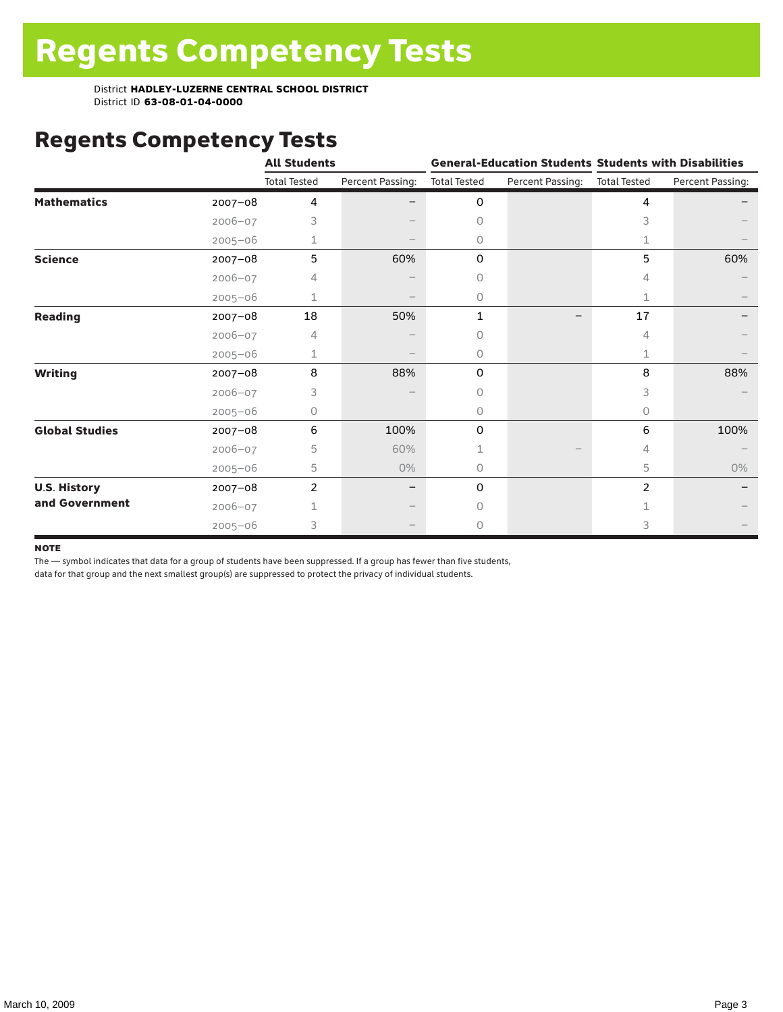# Regents Competency Tests

|                       |             | <b>All Students</b> |                  |                     |                  | <b>General-Education Students Students with Disabilities</b> |                  |  |
|-----------------------|-------------|---------------------|------------------|---------------------|------------------|--------------------------------------------------------------|------------------|--|
|                       |             | <b>Total Tested</b> | Percent Passing: | <b>Total Tested</b> | Percent Passing: | <b>Total Tested</b>                                          | Percent Passing: |  |
| <b>Mathematics</b>    | $2007 - 08$ | 4                   |                  | 0                   |                  | 4                                                            |                  |  |
|                       | $2006 - 07$ | 3                   |                  | $\Omega$            |                  | 3                                                            |                  |  |
|                       | $2005 - 06$ | 1                   |                  | $\circ$             |                  | 1                                                            |                  |  |
| <b>Science</b>        | 2007-08     | 5                   | 60%              | 0                   |                  | 5                                                            | 60%              |  |
|                       | $2006 - 07$ | 4                   |                  | 0                   |                  | 4                                                            |                  |  |
|                       | $2005 - 06$ | 1                   |                  | $\circ$             |                  | 1                                                            |                  |  |
| <b>Reading</b>        | $2007 - 08$ | 18                  | 50%              | 1                   |                  | 17                                                           |                  |  |
|                       | 2006-07     | 4                   |                  | 0                   |                  | 4                                                            |                  |  |
|                       | $2005 - 06$ |                     |                  | $\circ$             |                  | 1                                                            |                  |  |
| <b>Writing</b>        | 2007-08     | 8                   | 88%              | 0                   |                  | 8                                                            | 88%              |  |
|                       | $2006 - 07$ | 3                   |                  | $\Omega$            |                  | 3                                                            |                  |  |
|                       | $2005 - 06$ | 0                   |                  | 0                   |                  | 0                                                            |                  |  |
| <b>Global Studies</b> | $2007 - 08$ | 6                   | 100%             | 0                   |                  | 6                                                            | 100%             |  |
|                       | 2006-07     | 5                   | 60%              |                     |                  | 4                                                            |                  |  |
|                       | $2005 - 06$ | 5                   | 0%               | 0                   |                  | 5                                                            | 0%               |  |
| <b>U.S. History</b>   | 2007-08     | $\overline{2}$      |                  | 0                   |                  | 2                                                            |                  |  |
| and Government        | $2006 - 07$ |                     |                  | 0                   |                  |                                                              |                  |  |
|                       | $2005 - 06$ | 3                   |                  | $\circ$             |                  | 3                                                            |                  |  |

#### **NOTE**

The — symbol indicates that data for a group of students have been suppressed. If a group has fewer than five students,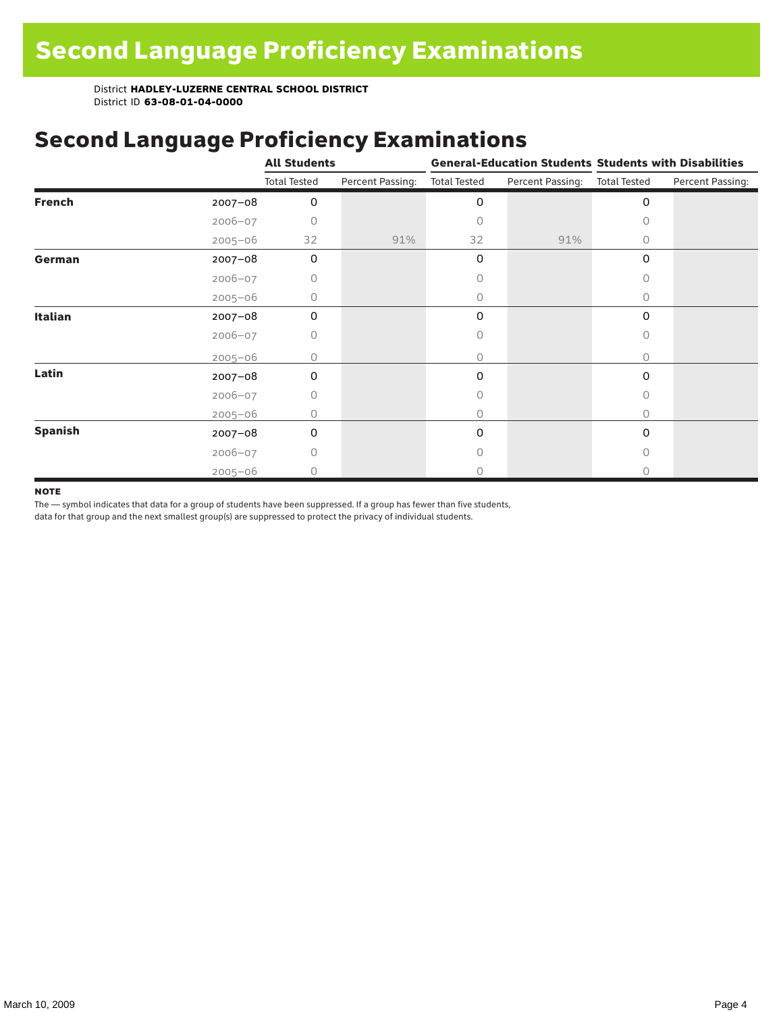## Second Language Proficiency Examinations

|                |             | <b>All Students</b> |                  |                     |                               | <b>General-Education Students Students with Disabilities</b> |                  |  |
|----------------|-------------|---------------------|------------------|---------------------|-------------------------------|--------------------------------------------------------------|------------------|--|
|                |             | <b>Total Tested</b> | Percent Passing: | <b>Total Tested</b> | Percent Passing: Total Tested |                                                              | Percent Passing: |  |
| <b>French</b>  | 2007-08     | $\mathbf 0$         |                  | 0                   |                               | $\mathbf 0$                                                  |                  |  |
|                | $2006 - 07$ | O                   |                  | 0                   |                               | 0                                                            |                  |  |
|                | $2005 - 06$ | 32                  | 91%              | 32                  | 91%                           | 0                                                            |                  |  |
| German         | 2007-08     | $\mathbf 0$         |                  | 0                   |                               | 0                                                            |                  |  |
|                | $2006 - 07$ | 0                   |                  | Ω                   |                               | 0                                                            |                  |  |
|                | $2005 - 06$ | 0                   |                  | 0                   |                               | $\Omega$                                                     |                  |  |
| <b>Italian</b> | $2007 - 08$ | 0                   |                  | 0                   |                               | 0                                                            |                  |  |
|                | $2006 - 07$ | 0                   |                  | 0                   |                               | 0                                                            |                  |  |
|                | $2005 - 06$ | Ω                   |                  | 0                   |                               | $\Omega$                                                     |                  |  |
| Latin          | 2007-08     | 0                   |                  | 0                   |                               | 0                                                            |                  |  |
|                | $2006 - 07$ | 0                   |                  | 0                   |                               | $\circ$                                                      |                  |  |
|                | $2005 - 06$ | 0                   |                  | 0                   |                               | 0                                                            |                  |  |
| <b>Spanish</b> | $2007 - 08$ | 0                   |                  | 0                   |                               | 0                                                            |                  |  |
|                | $2006 - 07$ | 0                   |                  |                     |                               | $\bigcap$                                                    |                  |  |
|                | $2005 - 06$ | 0                   |                  | Ω                   |                               | 0                                                            |                  |  |

#### **NOTE**

The — symbol indicates that data for a group of students have been suppressed. If a group has fewer than five students,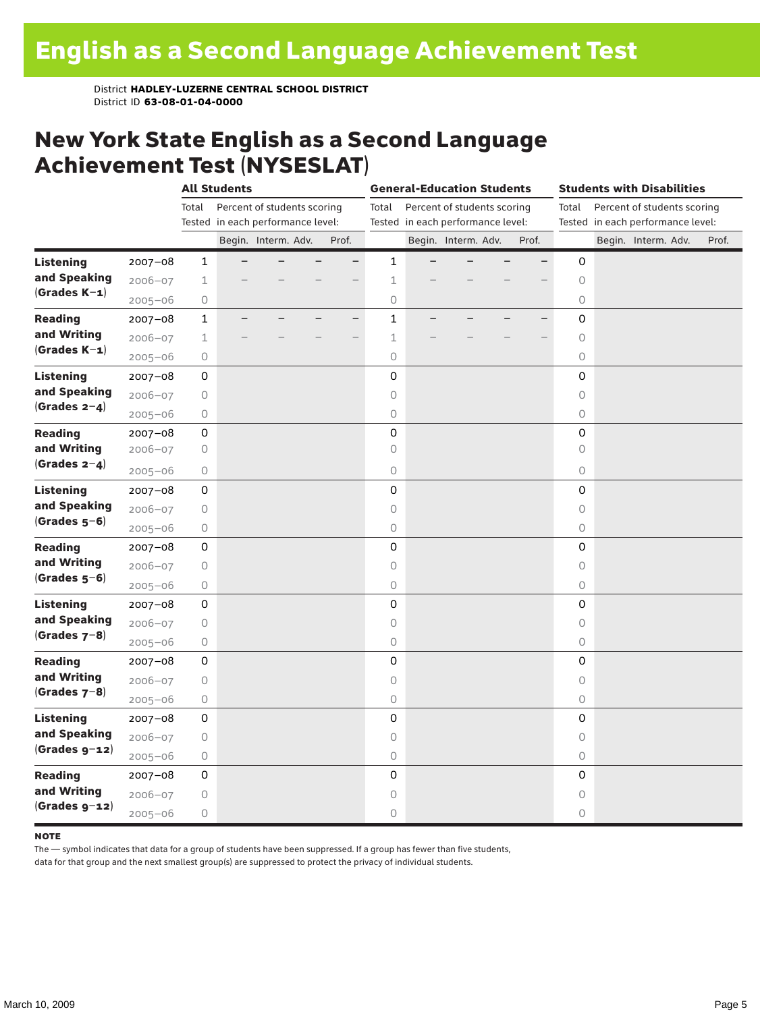### New York State English as a Second Language Achievement Test (NYSESLAT)

|                  |             |              | <b>All Students</b>               |                     |  |       | <b>General-Education Students</b>    |                     |  |                                   |  | <b>Students with Disabilities</b> |                          |                     |  |                             |                                   |       |
|------------------|-------------|--------------|-----------------------------------|---------------------|--|-------|--------------------------------------|---------------------|--|-----------------------------------|--|-----------------------------------|--------------------------|---------------------|--|-----------------------------|-----------------------------------|-------|
|                  |             | Total        | Percent of students scoring       |                     |  |       | Percent of students scoring<br>Total |                     |  |                                   |  |                                   | Total                    |                     |  | Percent of students scoring |                                   |       |
|                  |             |              | Tested in each performance level: |                     |  |       |                                      |                     |  | Tested in each performance level: |  |                                   |                          |                     |  |                             | Tested in each performance level: |       |
|                  |             |              |                                   | Begin. Interm. Adv. |  | Prof. |                                      |                     |  | Begin. Interm. Adv.               |  |                                   | Prof.                    |                     |  |                             | Begin. Interm. Adv.               | Prof. |
| <b>Listening</b> | $2007 - 08$ | $\mathbf{1}$ |                                   |                     |  | ٠     |                                      | $\mathbf{1}$        |  |                                   |  |                                   |                          | 0                   |  |                             |                                   |       |
| and Speaking     | $2006 - 07$ | $\mathbf 1$  |                                   |                     |  |       |                                      | $\mathbf 1$         |  |                                   |  |                                   |                          | $\circ$             |  |                             |                                   |       |
| $(Grades K-1)$   | $2005 - 06$ | $\bigcirc$   |                                   |                     |  |       |                                      | $\circ$             |  |                                   |  |                                   |                          | $\circlearrowright$ |  |                             |                                   |       |
| <b>Reading</b>   | $2007 - 08$ | $\mathbf{1}$ |                                   |                     |  | $-$   |                                      | $\mathbf{1}$        |  |                                   |  |                                   | $\overline{\phantom{0}}$ | 0                   |  |                             |                                   |       |
| and Writing      | $2006 - 07$ | $\mathbf 1$  |                                   |                     |  | -     |                                      | 1                   |  |                                   |  |                                   |                          | $\circlearrowright$ |  |                             |                                   |       |
| $(Grades K-1)$   | $2005 - 06$ | $\bigcirc$   |                                   |                     |  |       |                                      | $\circ$             |  |                                   |  |                                   |                          | 0                   |  |                             |                                   |       |
| <b>Listening</b> | $2007 - 08$ | 0            |                                   |                     |  |       |                                      | $\mathsf 0$         |  |                                   |  |                                   |                          | $\mathbf 0$         |  |                             |                                   |       |
| and Speaking     | $2006 - 07$ | $\bigcirc$   |                                   |                     |  |       |                                      | $\circ$             |  |                                   |  |                                   |                          | $\circ$             |  |                             |                                   |       |
| (Grades $2-4$ )  | $2005 - 06$ | $\mathsf O$  |                                   |                     |  |       |                                      | $\circ$             |  |                                   |  |                                   |                          | $\circlearrowright$ |  |                             |                                   |       |
| <b>Reading</b>   | $2007 - 08$ | 0            |                                   |                     |  |       |                                      | 0                   |  |                                   |  |                                   |                          | 0                   |  |                             |                                   |       |
| and Writing      | 2006-07     | $\bigcirc$   |                                   |                     |  |       |                                      | $\circ$             |  |                                   |  |                                   |                          | $\circ$             |  |                             |                                   |       |
| (Grades $2-4$ )  | $2005 - 06$ | 0            |                                   |                     |  |       |                                      | $\circlearrowright$ |  |                                   |  |                                   |                          | 0                   |  |                             |                                   |       |
| <b>Listening</b> | $2007 - 08$ | 0            |                                   |                     |  |       |                                      | 0                   |  |                                   |  |                                   |                          | $\mathbf 0$         |  |                             |                                   |       |
| and Speaking     | $2006 - 07$ | 0            |                                   |                     |  |       |                                      | $\circ$             |  |                                   |  |                                   |                          | $\circlearrowright$ |  |                             |                                   |       |
| $(Grades 5-6)$   | $2005 - 06$ | 0            |                                   |                     |  |       |                                      | $\mathsf O$         |  |                                   |  |                                   |                          | 0                   |  |                             |                                   |       |
| <b>Reading</b>   | $2007 - 08$ | 0            |                                   |                     |  |       |                                      | 0                   |  |                                   |  |                                   |                          | $\mathbf 0$         |  |                             |                                   |       |
| and Writing      | $2006 - 07$ | $\bigcirc$   |                                   |                     |  |       |                                      | $\circ$             |  |                                   |  |                                   |                          | $\circ$             |  |                             |                                   |       |
| $(Grades 5-6)$   | $2005 - 06$ | $\bigcirc$   |                                   |                     |  |       |                                      | $\bigcirc$          |  |                                   |  |                                   |                          | $\circ$             |  |                             |                                   |       |
| <b>Listening</b> | 2007-08     | 0            |                                   |                     |  |       |                                      | 0                   |  |                                   |  |                                   |                          | 0                   |  |                             |                                   |       |
| and Speaking     | $2006 - 07$ | $\bigcirc$   |                                   |                     |  |       |                                      | $\circ$             |  |                                   |  |                                   |                          | $\circ$             |  |                             |                                   |       |
| (Grades $7-8$ )  | $2005 - 06$ | 0            |                                   |                     |  |       |                                      | $\circ$             |  |                                   |  |                                   |                          | 0                   |  |                             |                                   |       |
| <b>Reading</b>   | $2007 - 08$ | 0            |                                   |                     |  |       |                                      | 0                   |  |                                   |  |                                   |                          | 0                   |  |                             |                                   |       |
| and Writing      | $2006 - 07$ | $\bigcirc$   |                                   |                     |  |       |                                      | $\circ$             |  |                                   |  |                                   |                          | $\circ$             |  |                             |                                   |       |
| $(Grades 7-8)$   | $2005 - 06$ | 0            |                                   |                     |  |       |                                      | $\circ$             |  |                                   |  |                                   |                          | 0                   |  |                             |                                   |       |
| <b>Listening</b> | $2007 - 08$ | 0            |                                   |                     |  |       |                                      | 0                   |  |                                   |  |                                   |                          | 0                   |  |                             |                                   |       |
| and Speaking     | $2006 - 07$ | $\bigcirc$   |                                   |                     |  |       |                                      | $\circ$             |  |                                   |  |                                   |                          | $\circ$             |  |                             |                                   |       |
| $(Grades g-12)$  | $2005 - 06$ | $\bigcirc$   |                                   |                     |  |       |                                      | $\circlearrowright$ |  |                                   |  |                                   |                          | $\circ$             |  |                             |                                   |       |
| <b>Reading</b>   | 2007-08     | 0            |                                   |                     |  |       |                                      | $\mathsf{O}\xspace$ |  |                                   |  |                                   |                          | 0                   |  |                             |                                   |       |
| and Writing      | $2006 - 07$ | 0            |                                   |                     |  |       |                                      | 0                   |  |                                   |  |                                   |                          | $\circ$             |  |                             |                                   |       |
| $(Grades g-12)$  | $2005 - 06$ | 0            |                                   |                     |  |       |                                      | 0                   |  |                                   |  |                                   |                          | 0                   |  |                             |                                   |       |

#### **NOTE**

The — symbol indicates that data for a group of students have been suppressed. If a group has fewer than five students,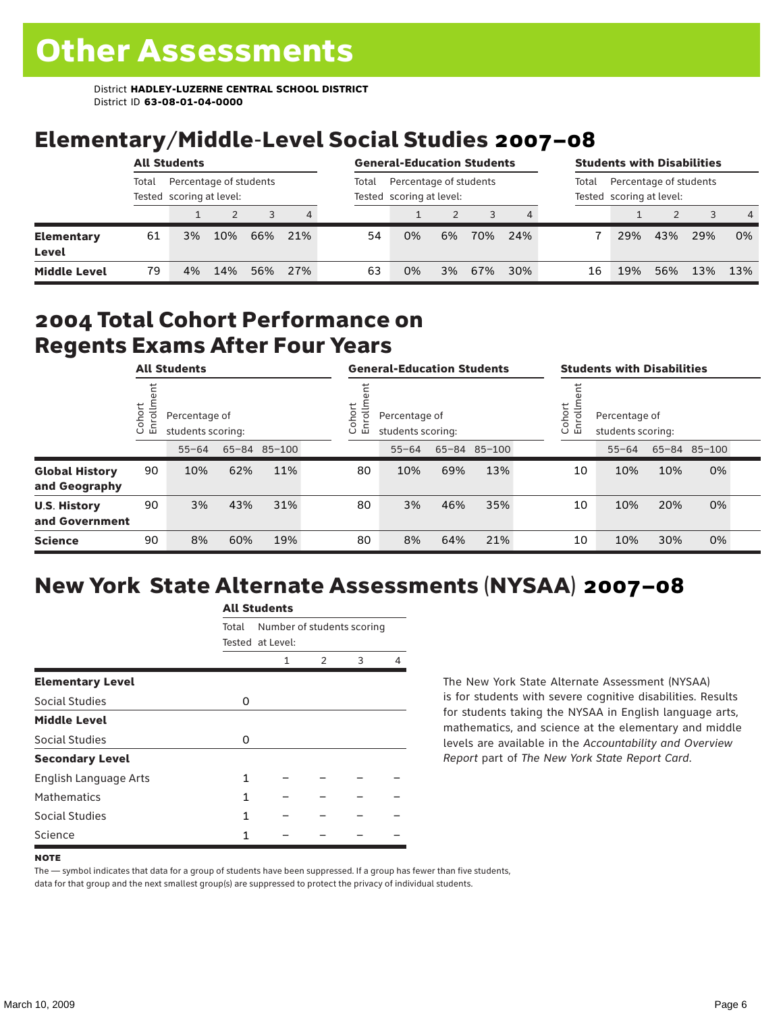## Elementary/Middle-Level Social Studies 2007–08

|                            | <b>All Students</b>                                         |    |     |     |       |                                                    | <b>General-Education Students</b> |    |     |       |                                                    | <b>Students with Disabilities</b> |     |     |                |  |
|----------------------------|-------------------------------------------------------------|----|-----|-----|-------|----------------------------------------------------|-----------------------------------|----|-----|-------|----------------------------------------------------|-----------------------------------|-----|-----|----------------|--|
|                            | Percentage of students<br>Total<br>Tested scoring at level: |    |     |     | Total | Percentage of students<br>Tested scoring at level: |                                   |    |     | Total | Percentage of students<br>Tested scoring at level: |                                   |     |     |                |  |
|                            |                                                             |    |     |     | 4     |                                                    |                                   |    |     |       |                                                    |                                   |     |     | $\overline{4}$ |  |
| <b>Elementary</b><br>Level | 61                                                          | 3% | 10% | 66% | 21%   | 54                                                 | 0%                                | 6% | 70% | 24%   |                                                    | 29%                               | 43% | 29% | 0%             |  |
| <b>Middle Level</b>        | 79                                                          | 4% | 14% | 56% | 27%   | 63                                                 | 0%                                | 3% | 67% | 30%   | 16                                                 | 19%                               | 56% | 13% | 13%            |  |

#### 2004 Total Cohort Performance on Regents Exams After Four Years

|                                        | <b>All Students</b>     |                                                    |     |     | <b>General-Education Students</b>                         |           |     |              |  | <b>Students with Disabilities</b> |                                    |     |              |  |
|----------------------------------------|-------------------------|----------------------------------------------------|-----|-----|-----------------------------------------------------------|-----------|-----|--------------|--|-----------------------------------|------------------------------------|-----|--------------|--|
|                                        | Cohort<br>$\circ$<br>一山 | Percentage of<br>students scoring:<br>65-84 85-100 |     |     | Cohort<br>allo<br>Percentage of<br>띧<br>students scoring: |           |     |              |  | Cohort<br>들<br>ā<br>훕             | Percentage of<br>students scoring: |     |              |  |
|                                        |                         | $55 - 64$                                          |     |     |                                                           | $55 - 64$ |     | 65-84 85-100 |  |                                   | $55 - 64$                          |     | 65-84 85-100 |  |
| <b>Global History</b><br>and Geography | 90                      | 10%                                                | 62% | 11% | 80                                                        | 10%       | 69% | 13%          |  | 10                                | 10%                                | 10% | 0%           |  |
| <b>U.S. History</b><br>and Government  | 90                      | 3%                                                 | 43% | 31% | 80                                                        | 3%        | 46% | 35%          |  | 10                                | 10%                                | 20% | 0%           |  |
| <b>Science</b>                         | 90                      | 8%                                                 | 60% | 19% | 80                                                        | 8%        | 64% | 21%          |  | 10                                | 10%                                | 30% | 0%           |  |

# New York State Alternate Assessments (NYSAA) 2007–08

|                         |       | AIL SLUUCIILS              |   |   |   |  |  |  |  |  |  |
|-------------------------|-------|----------------------------|---|---|---|--|--|--|--|--|--|
|                         | Total | Number of students scoring |   |   |   |  |  |  |  |  |  |
|                         |       | Tested at Level:           |   |   |   |  |  |  |  |  |  |
|                         |       | 1                          | 2 | 3 | 4 |  |  |  |  |  |  |
| <b>Elementary Level</b> |       |                            |   |   |   |  |  |  |  |  |  |
| Social Studies          | 0     |                            |   |   |   |  |  |  |  |  |  |
| <b>Middle Level</b>     |       |                            |   |   |   |  |  |  |  |  |  |
| <b>Social Studies</b>   | 0     |                            |   |   |   |  |  |  |  |  |  |
| <b>Secondary Level</b>  |       |                            |   |   |   |  |  |  |  |  |  |
| English Language Arts   | 1     |                            |   |   |   |  |  |  |  |  |  |
| <b>Mathematics</b>      | 1     |                            |   |   |   |  |  |  |  |  |  |
| Social Studies          | 1     |                            |   |   |   |  |  |  |  |  |  |
| Science                 |       |                            |   |   |   |  |  |  |  |  |  |

All C<sub>tude</sub>

The New York State Alternate Assessment (NYSAA) is for students with severe cognitive disabilities. Results for students taking the NYSAA in English language arts, mathematics, and science at the elementary and middle levels are available in the *Accountability and Overview Report* part of *The New York State Report Card*.

The — symbol indicates that data for a group of students have been suppressed. If a group has fewer than five students, data for that group and the next smallest group(s) are suppressed to protect the privacy of individual students.

**NOTE**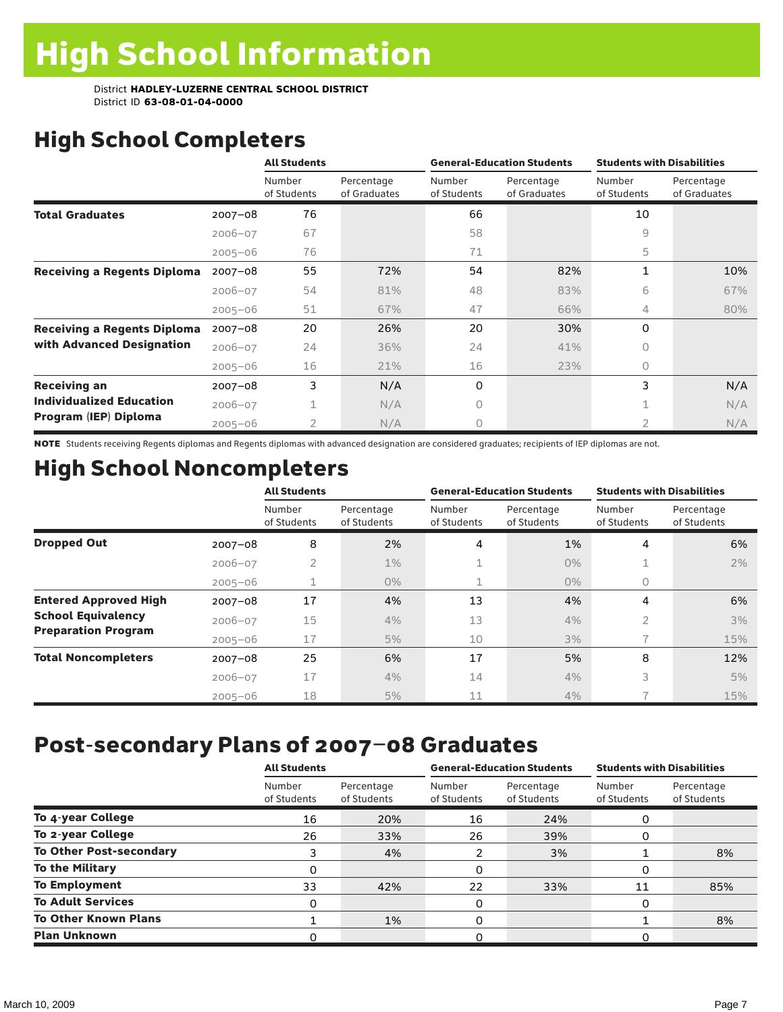# High School Completers

|                                    |             | <b>All Students</b>   |                            |                       | <b>General-Education Students</b> | <b>Students with Disabilities</b> |                            |
|------------------------------------|-------------|-----------------------|----------------------------|-----------------------|-----------------------------------|-----------------------------------|----------------------------|
|                                    |             | Number<br>of Students | Percentage<br>of Graduates | Number<br>of Students | Percentage<br>of Graduates        | Number<br>of Students             | Percentage<br>of Graduates |
| <b>Total Graduates</b>             | $2007 - 08$ | 76                    |                            | 66                    |                                   | 10                                |                            |
|                                    | $2006 - 07$ | 67                    |                            | 58                    |                                   | 9                                 |                            |
|                                    | $2005 - 06$ | 76                    |                            | 71                    |                                   | 5                                 |                            |
| <b>Receiving a Regents Diploma</b> | $2007 - 08$ | 55                    | 72%                        | 54                    | 82%                               | $\mathbf{1}$                      | 10%                        |
|                                    | $2006 - 07$ | 54                    | 81%                        | 48                    | 83%                               | 6                                 | 67%                        |
|                                    | $2005 - 06$ | 51                    | 67%                        | 47                    | 66%                               | 4                                 | 80%                        |
| <b>Receiving a Regents Diploma</b> | $2007 - 08$ | 20                    | 26%                        | 20                    | 30%                               | $\Omega$                          |                            |
| with Advanced Designation          | $2006 - 07$ | 24                    | 36%                        | 24                    | 41%                               | $\Omega$                          |                            |
|                                    | $2005 - 06$ | 16                    | 21%                        | 16                    | 23%                               | $\bigcap$                         |                            |
| <b>Receiving an</b>                | $2007 - 08$ | 3                     | N/A                        | 0                     |                                   | 3                                 | N/A                        |
| <b>Individualized Education</b>    | $2006 - 07$ | 1                     | N/A                        | 0                     |                                   |                                   | N/A                        |
| Program (IEP) Diploma              | $2005 - 06$ | $\overline{2}$        | N/A                        | 0                     |                                   | 2                                 | N/A                        |

NOTE Students receiving Regents diplomas and Regents diplomas with advanced designation are considered graduates; recipients of IEP diplomas are not.

## High School Noncompleters

|                              |             | <b>All Students</b>   |                           |                       | <b>General-Education Students</b> | <b>Students with Disabilities</b> |                           |
|------------------------------|-------------|-----------------------|---------------------------|-----------------------|-----------------------------------|-----------------------------------|---------------------------|
|                              |             | Number<br>of Students | Percentage<br>of Students | Number<br>of Students | Percentage<br>of Students         | Number<br>of Students             | Percentage<br>of Students |
| <b>Dropped Out</b>           | $2007 - 08$ | 8                     | 2%                        | 4                     | 1%                                | 4                                 | 6%                        |
|                              | $2006 - 07$ | 2                     | $1\%$                     |                       | $0\%$                             | ÷.                                | 2%                        |
|                              | $2005 - 06$ |                       | $0\%$                     | 1                     | $0\%$                             | 0                                 |                           |
| <b>Entered Approved High</b> | $2007 - 08$ | 17                    | 4%                        | 13                    | 4%                                | 4                                 | 6%                        |
| <b>School Equivalency</b>    | $2006 - 07$ | 15                    | 4%                        | 13                    | 4%                                | 2                                 | 3%                        |
| <b>Preparation Program</b>   | $2005 - 06$ | 17                    | 5%                        | 10                    | 3%                                |                                   | 15%                       |
| <b>Total Noncompleters</b>   | $2007 - 08$ | 25                    | 6%                        | 17                    | 5%                                | 8                                 | 12%                       |
|                              | $2006 - 07$ | 17                    | 4%                        | 14                    | 4%                                | 3                                 | 5%                        |
|                              | $2005 - 06$ | 18                    | 5%                        | 11                    | 4%                                |                                   | 15%                       |

## Post-secondary Plans of 2007–08 Graduates

|                                | <b>All Students</b>   |                           |                       | <b>General-Education Students</b> | <b>Students with Disabilities</b> |                           |  |
|--------------------------------|-----------------------|---------------------------|-----------------------|-----------------------------------|-----------------------------------|---------------------------|--|
|                                | Number<br>of Students | Percentage<br>of Students | Number<br>of Students | Percentage<br>of Students         | Number<br>of Students             | Percentage<br>of Students |  |
| To 4-year College              | 16                    | 20%                       | 16                    | 24%                               | 0                                 |                           |  |
| To 2-year College              | 26                    | 33%                       | 26                    | 39%                               | 0                                 |                           |  |
| <b>To Other Post-secondary</b> | 3                     | 4%                        | 2                     | 3%                                |                                   | 8%                        |  |
| <b>To the Military</b>         | 0                     |                           | 0                     |                                   | 0                                 |                           |  |
| <b>To Employment</b>           | 33                    | 42%                       | 22                    | 33%                               | 11                                | 85%                       |  |
| <b>To Adult Services</b>       | 0                     |                           | 0                     |                                   | 0                                 |                           |  |
| <b>To Other Known Plans</b>    |                       | 1%                        | 0                     |                                   |                                   | 8%                        |  |
| <b>Plan Unknown</b>            |                       |                           | 0                     |                                   | O                                 |                           |  |